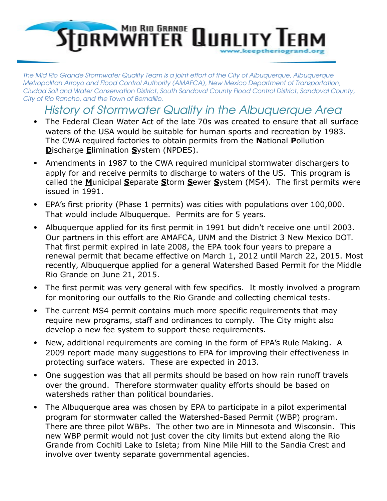## **STORMWATER QUALITY**

The Mid Rio Grande Stormwater Quality Team is a joint effort of the City of Albuquerque, Albuquerque Metropolitan Arroyo and Flood Control Authority (AMAFCA), New Mexico Department of Transportation, Ciudad Soil and Water Conservation District, South Sandoval County Flood Control District, Sandoval County, City of Rio Rancho, and the Town of Bernalillo.

History of Stormwater Quality in the Albuquerque Area

- The Federal Clean Water Act of the late 70s was created to ensure that all surface waters of the USA would be suitable for human sports and recreation by 1983. The CWA required factories to obtain permits from the **N**ational **P**ollution **D**ischarge **E**limination **S**ystem (NPDES).
- Amendments in 1987 to the CWA required municipal stormwater dischargers to apply for and receive permits to discharge to waters of the US. This program is called the **M**unicipal **S**eparate **S**torm **S**ewer **S**ystem (MS4). The first permits were issued in 1991.
- EPA's first priority (Phase 1 permits) was cities with populations over 100,000. That would include Albuquerque. Permits are for 5 years.
- Albuquerque applied for its first permit in 1991 but didn't receive one until 2003. Our partners in this effort are AMAFCA, UNM and the District 3 New Mexico DOT. That first permit expired in late 2008, the EPA took four years to prepare a renewal permit that became effective on March 1, 2012 until March 22, 2015. Most recently, Albuquerque applied for a general Watershed Based Permit for the Middle Rio Grande on June 21, 2015.
- The first permit was very general with few specifics. It mostly involved a program for monitoring our outfalls to the Rio Grande and collecting chemical tests.
- The current MS4 permit contains much more specific requirements that may require new programs, staff and ordinances to comply. The City might also develop a new fee system to support these requirements.
- New, additional requirements are coming in the form of EPA's Rule Making. A 2009 report made many suggestions to EPA for improving their effectiveness in protecting surface waters. These are expected in 2013.
- One suggestion was that all permits should be based on how rain runoff travels over the ground. Therefore stormwater quality efforts should be based on watersheds rather than political boundaries.
- The Albuquerque area was chosen by EPA to participate in a pilot experimental program for stormwater called the Watershed-Based Permit (WBP) program. There are three pilot WBPs. The other two are in Minnesota and Wisconsin. This new WBP permit would not just cover the city limits but extend along the Rio Grande from Cochiti Lake to Isleta; from Nine Mile Hill to the Sandia Crest and involve over twenty separate governmental agencies.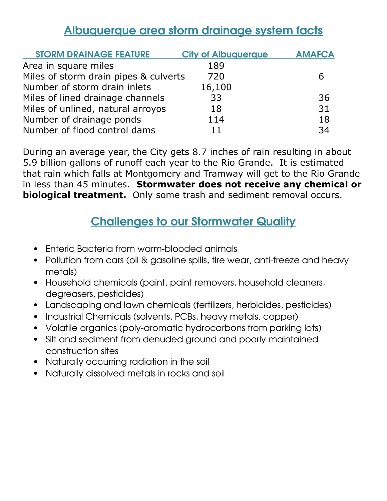## Albuquerque area storm drainage system facts

| <b>STORM DRAINAGE FEATURE</b>         | <b>City of Albuquerque</b> | <b>AMAFCA</b> |
|---------------------------------------|----------------------------|---------------|
| Area in square miles                  | 189                        |               |
| Miles of storm drain pipes & culverts | 720                        |               |
| Number of storm drain inlets          | 16,100                     |               |
| Miles of lined drainage channels      | 33                         | 36            |
| Miles of unlined, natural arroyos     | 18                         | 31            |
| Number of drainage ponds              | 114                        | 18            |
| Number of flood control dams          | 11                         | 34            |

During an average year, the City gets 8.7 inches of rain resulting in about 5.9 billion gallons of runoff each year to the Rio Grande. It is estimated that rain which falls at Montgomery and Tramway will get to the Rio Grande in less than 45 minutes. **Stormwater does not receive any chemical or biological treatment.** Only some trash and sediment removal occurs.

## **Challenges to our Stormwater Quality**

- Enteric Bacteria from warm-blooded animals
- Pollution from cars (oil & gasoline spills, tire wear, anti-freeze and heavy metals)
- Household chemicals (paint, paint removers, household cleaners, degreasers, pesticides)
- Landscaping and lawn chemicals (fertilizers, herbicides, pesticides)
- Industrial Chemicals (solvents, PCBs, heavy metals, copper)
- Volatile organics (poly-aromatic hydrocarbons from parking lots)
- Silt and sediment from denuded ground and poorlymaintained construction sites
- Naturally occurring radiation in the soil
- Naturally dissolved metals in rocks and soil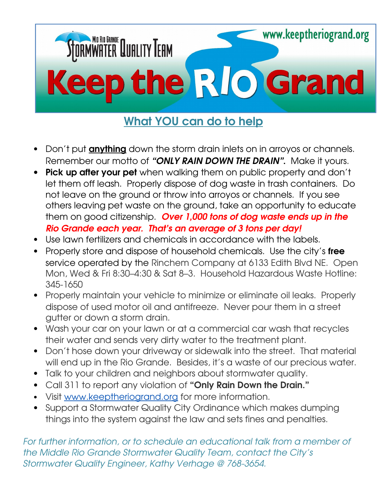

## What **YOU** can do to help

- Don't put **anything** down the storm drain inlets on in arroyos or channels. Remember our motto of "ONLY RAIN DOWN THE DRAIN". Make it yours.
- Pick up after your pet when walking them on public property and don't let them off leash. Properly dispose of dog waste in trash containers. Do not leave on the ground or throw into arroyos or channels. If you see others leaving pet waste on the ground, take an opportunity to educate them on good citizenship. Over 1,000 tons of dog waste ends up in the Rio Grande each year. That's an average of 3 tons per day!
- Use lawn fertilizers and chemicals in accordance with the labels.
- Properly store and dispose of household chemicals. Use the city's free service operated by the Rinchem Company at 6133 Edith Blvd NE. Open Mon, Wed & Fri 8:30–4:30 & Sat 8–3. Household Hazardous Waste Hotline: 345-1650
- Properly maintain your vehicle to minimize or eliminate oil leaks. Properly dispose of used motor oil and antifreeze. Never pour them in a street gutter or down a storm drain.
- Wash your car on your lawn or at a commercial car wash that recycles their water and sends very dirty water to the treatment plant.
- Don't hose down your driveway or sidewalk into the street. That material will end up in the Rio Grande. Besides, it's a waste of our precious water.
- Talk to your children and neighbors about stormwater quality.
- Call 311 to report any violation of "Only Rain Down the Drain."
- Visit [www.keeptheriogrand.org](http://www.keeptheriogrand.org/) for more information.
- Support a Stormwater Quality City Ordinance which makes dumping things into the system against the law and sets fines and penalties.

For further information, or to schedule an educational talk from a member of the Middle Rio Grande Stormwater Quality Team, contact the City's Stormwater Quality Engineer, Kathy Verhage @ 768-3654.